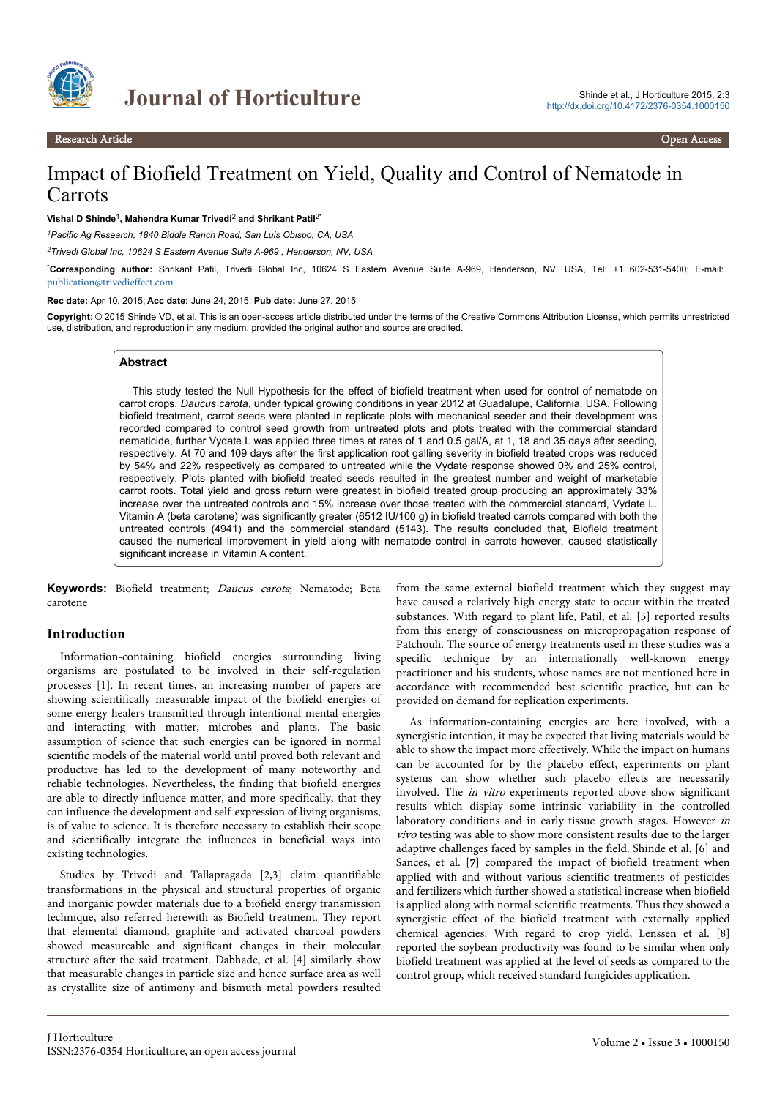

# **Journal of Horticulture** Shinde et al., J Horticulture 2015, 2:3

# Impact of Biofield Treatment on Yield, Quality and Control of Nematode in **Carrots**

#### Vishal D Shinde<sup>1</sup>, Mahendra Kumar Trivedi<sup>2</sup> and Shrikant Patil<sup>2\*</sup>

*<sup>1</sup>Pacific Ag Research, 1840 Biddle Ranch Road, San Luis Obispo, CA, USA*

*<sup>2</sup>Trivedi Global Inc, 10624 S Eastern Avenue Suite A-969 , Henderson, NV, USA*

\***Corresponding author:** Shrikant Patil, Trivedi Global Inc, 10624 S Eastern Avenue Suite A-969, Henderson, NV, USA, Tel: +1 602-531-5400; E-mail: [publication@trivedieffect.com](mailto:publication@trivedieffect.com)

#### **Rec date:** Apr 10, 2015; **Acc date:** June 24, 2015; **Pub date:** June 27, 2015

**Copyright:** © 2015 Shinde VD, et al. This is an open-access article distributed under the terms of the Creative Commons Attribution License, which permits unrestricted use, distribution, and reproduction in any medium, provided the original author and source are credited.

#### **Abstract**

This study tested the Null Hypothesis for the effect of biofield treatment when used for control of nematode on carrot crops, *Daucus carota*, under typical growing conditions in year 2012 at Guadalupe, California, USA. Following biofield treatment, carrot seeds were planted in replicate plots with mechanical seeder and their development was recorded compared to control seed growth from untreated plots and plots treated with the commercial standard nematicide, further Vydate L was applied three times at rates of 1 and 0.5 gal/A, at 1, 18 and 35 days after seeding, respectively. At 70 and 109 days after the first application root galling severity in biofield treated crops was reduced by 54% and 22% respectively as compared to untreated while the Vydate response showed 0% and 25% control, respectively. Plots planted with biofield treated seeds resulted in the greatest number and weight of marketable carrot roots. Total yield and gross return were greatest in biofield treated group producing an approximately 33% increase over the untreated controls and 15% increase over those treated with the commercial standard, Vydate L. Vitamin A (beta carotene) was significantly greater (6512 IU/100 g) in biofield treated carrots compared with both the untreated controls (4941) and the commercial standard (5143). The results concluded that, Biofield treatment caused the numerical improvement in yield along with nematode control in carrots however, caused statistically significant increase in Vitamin A content.

**Keywords:** Biofield treatment; Daucus carota; Nematode; Beta carotene

#### **Introduction**

Information-containing biofield energies surrounding living organisms are postulated to be involved in their self-regulation processes [1]. In recent times, an increasing number of papers are showing scientifically measurable impact of the biofield energies of some energy healers transmitted through intentional mental energies and interacting with matter, microbes and plants. The basic assumption of science that such energies can be ignored in normal scientific models of the material world until proved both relevant and productive has led to the development of many noteworthy and reliable technologies. Nevertheless, the finding that biofield energies are able to directly influence matter, and more specifically, that they can influence the development and self-expression of living organisms, is of value to science. It is therefore necessary to establish their scope and scientifically integrate the influences in beneficial ways into existing technologies.

Studies by Trivedi and Tallapragada [2,3] claim quantifiable transformations in the physical and structural properties of organic and inorganic powder materials due to a biofield energy transmission technique, also referred herewith as Biofield treatment. They report that elemental diamond, graphite and activated charcoal powders showed measureable and significant changes in their molecular structure after the said treatment. Dabhade, et al. [4] similarly show that measurable changes in particle size and hence surface area as well as crystallite size of antimony and bismuth metal powders resulted

from the same external biofield treatment which they suggest may have caused a relatively high energy state to occur within the treated substances. With regard to plant life, Patil, et al. [5] reported results from this energy of consciousness on micropropagation response of Patchouli. The source of energy treatments used in these studies was a specific technique by an internationally well-known energy practitioner and his students, whose names are not mentioned here in accordance with recommended best scientific practice, but can be provided on demand for replication experiments.

As information-containing energies are here involved, with a synergistic intention, it may be expected that living materials would be able to show the impact more effectively. While the impact on humans can be accounted for by the placebo effect, experiments on plant systems can show whether such placebo effects are necessarily involved. The in vitro experiments reported above show significant results which display some intrinsic variability in the controlled laboratory conditions and in early tissue growth stages. However in vivo testing was able to show more consistent results due to the larger adaptive challenges faced by samples in the field. Shinde et al. [6] and Sances, et al. [7] compared the impact of biofield treatment when applied with and without various scientific treatments of pesticides and fertilizers which further showed a statistical increase when biofield is applied along with normal scientific treatments. Thus they showed a synergistic effect of the biofield treatment with externally applied chemical agencies. With regard to crop yield, Lenssen et al. [8] reported the soybean productivity was found to be similar when only biofield treatment was applied at the level of seeds as compared to the control group, which received standard fungicides application.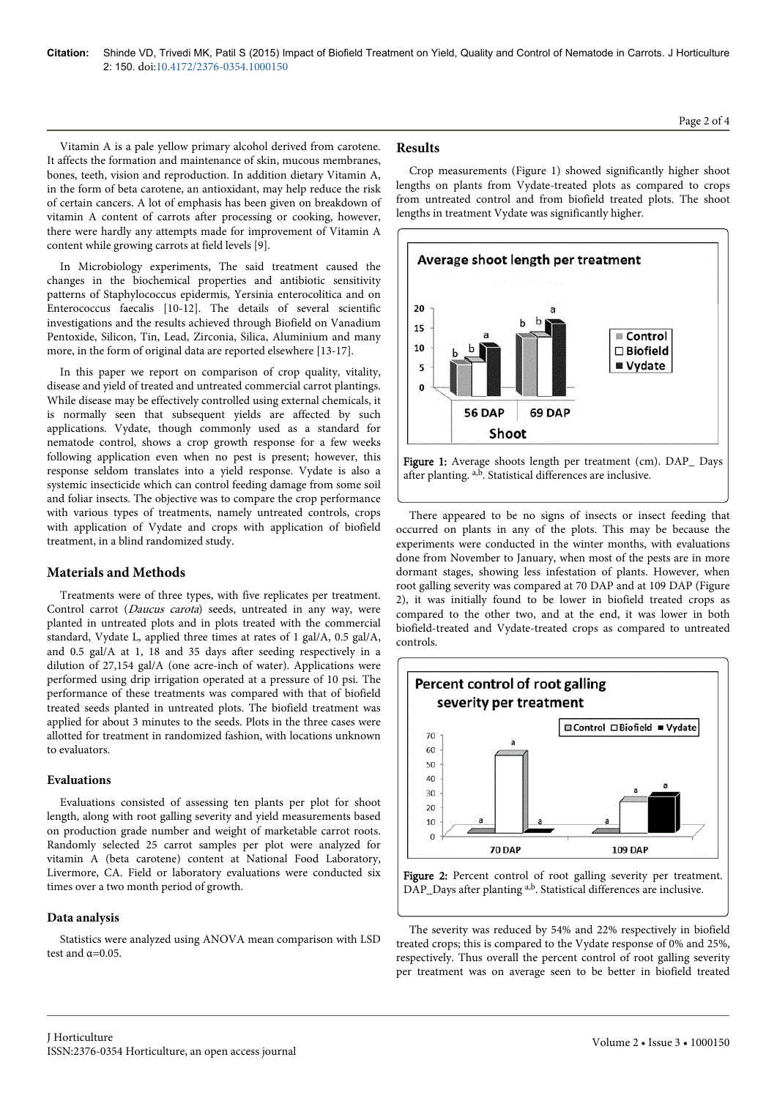Vitamin A is a pale yellow primary alcohol derived from carotene. It affects the formation and maintenance of skin, mucous membranes, bones, teeth, vision and reproduction. In addition dietary Vitamin A, in the form of beta carotene, an antioxidant, may help reduce the risk of certain cancers. A lot of emphasis has been given on breakdown of vitamin A content of carrots after processing or cooking, however, there were hardly any attempts made for improvement of Vitamin A content while growing carrots at field levels [9].

In Microbiology experiments, The said treatment caused the changes in the biochemical properties and antibiotic sensitivity patterns of Staphylococcus epidermis, Yersinia enterocolitica and on Enterococcus faecalis [10-12]. The details of several scientific investigations and the results achieved through Biofield on Vanadium Pentoxide, Silicon, Tin, Lead, Zirconia, Silica, Aluminium and many more, in the form of original data are reported elsewhere [13-17].

In this paper we report on comparison of crop quality, vitality, disease and yield of treated and untreated commercial carrot plantings. While disease may be effectively controlled using external chemicals, it is normally seen that subsequent yields are affected by such applications. Vydate, though commonly used as a standard for nematode control, shows a crop growth response for a few weeks following application even when no pest is present; however, this response seldom translates into a yield response. Vydate is also a systemic insecticide which can control feeding damage from some soil and foliar insects. The objective was to compare the crop performance with various types of treatments, namely untreated controls, crops with application of Vydate and crops with application of biofield treatment, in a blind randomized study.

#### **Materials and Methods**

Treatments were of three types, with five replicates per treatment. Control carrot (Daucus carota) seeds, untreated in any way, were planted in untreated plots and in plots treated with the commercial standard, Vydate L, applied three times at rates of 1 gal/A, 0.5 gal/A, and 0.5 gal/A at 1, 18 and 35 days after seeding respectively in a dilution of 27,154 gal/A (one acre-inch of water). Applications were performed using drip irrigation operated at a pressure of 10 psi. The performance of these treatments was compared with that of biofield treated seeds planted in untreated plots. The biofield treatment was applied for about 3 minutes to the seeds. Plots in the three cases were allotted for treatment in randomized fashion, with locations unknown to evaluators.

#### **Evaluations**

Evaluations consisted of assessing ten plants per plot for shoot length, along with root galling severity and yield measurements based on production grade number and weight of marketable carrot roots. Randomly selected 25 carrot samples per plot were analyzed for vitamin A (beta carotene) content at National Food Laboratory, Livermore, CA. Field or laboratory evaluations were conducted six times over a two month period of growth.

#### **Data analysis**

Statistics were analyzed using ANOVA mean comparison with LSD test and  $\alpha$ =0.05.

### **Results**

Crop measurements (Figure 1) showed significantly higher shoot lengths on plants from Vydate-treated plots as compared to crops from untreated control and from biofield treated plots. The shoot lengths in treatment Vydate was significantly higher.



Figure 1: Average shoots length per treatment (cm). DAP\_Days after planting. a,b. Statistical differences are inclusive.

There appeared to be no signs of insects or insect feeding that occurred on plants in any of the plots. This may be because the experiments were conducted in the winter months, with evaluations done from November to January, when most of the pests are in more dormant stages, showing less infestation of plants. However, when root galling severity was compared at 70 DAP and at 109 DAP (Figure 2), it was initially found to be lower in biofield treated crops as compared to the other two, and at the end, it was lower in both biofield-treated and Vydate-treated crops as compared to untreated controls.



Figure 2: Percent control of root galling severity per treatment. DAP\_Days after planting a,b. Statistical differences are inclusive.

The severity was reduced by 54% and 22% respectively in biofield treated crops; this is compared to the Vydate response of 0% and 25%, respectively. Thus overall the percent control of root galling severity per treatment was on average seen to be better in biofield treated

Page 2 of 4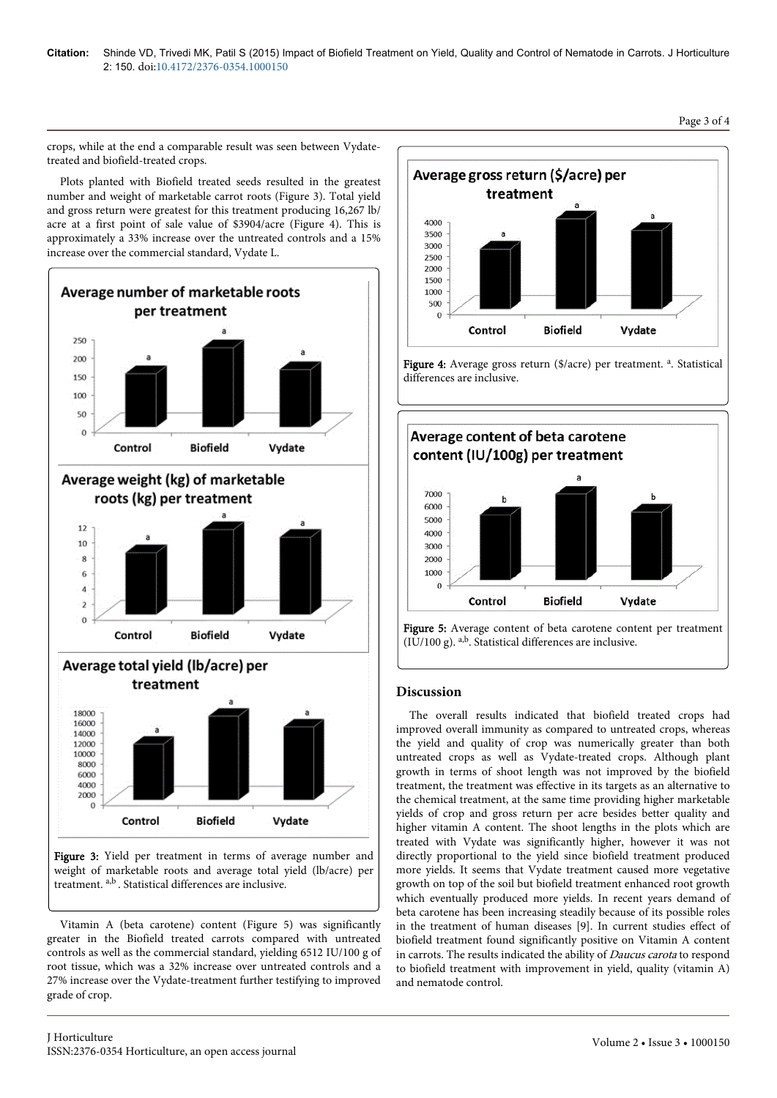crops, while at the end a comparable result was seen between Vydatetreated and biofield-treated crops.

Plots planted with Biofield treated seeds resulted in the greatest number and weight of marketable carrot roots (Figure 3). Total yield and gross return were greatest for this treatment producing 16,267 lb/ acre at a first point of sale value of \$3904/acre (Figure 4). This is approximately a 33% increase over the untreated controls and a 15% increase over the commercial standard, Vydate L.



weight of marketable roots and average total yield (lb/acre) per treatment. a,b . Statistical differences are inclusive.

Vitamin A (beta carotene) content (Figure 5) was significantly greater in the Biofield treated carrots compared with untreated controls as well as the commercial standard, yielding 6512 IU/100 g of root tissue, which was a 32% increase over untreated controls and a 27% increase over the Vydate-treatment further testifying to improved grade of crop.







Figure 5: Average content of beta carotene content per treatment (IU/100 g). a,b. Statistical differences are inclusive.

## **Discussion**

The overall results indicated that biofield treated crops had improved overall immunity as compared to untreated crops, whereas the yield and quality of crop was numerically greater than both untreated crops as well as Vydate-treated crops. Although plant growth in terms of shoot length was not improved by the biofield treatment, the treatment was effective in its targets as an alternative to the chemical treatment, at the same time providing higher marketable yields of crop and gross return per acre besides better quality and higher vitamin A content. The shoot lengths in the plots which are treated with Vydate was significantly higher, however it was not directly proportional to the yield since biofield treatment produced more yields. It seems that Vydate treatment caused more vegetative growth on top of the soil but biofield treatment enhanced root growth which eventually produced more yields. In recent years demand of beta carotene has been increasing steadily because of its possible roles in the treatment of human diseases [9]. In current studies effect of biofield treatment found significantly positive on Vitamin A content in carrots. The results indicated the ability of Daucus carota to respond to biofield treatment with improvement in yield, quality (vitamin A) and nematode control.